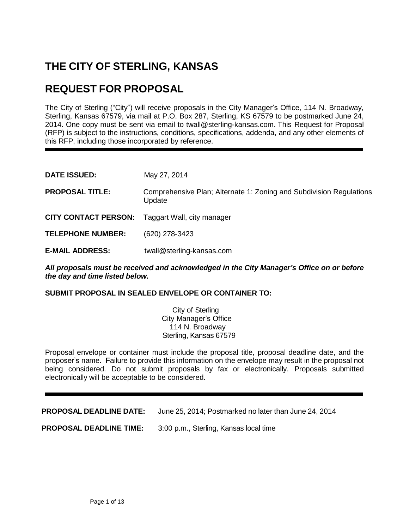# **THE CITY OF STERLING, KANSAS**

# **REQUEST FOR PROPOSAL**

The City of Sterling ("City") will receive proposals in the City Manager's Office, 114 N. Broadway, Sterling, Kansas 67579, via mail at P.O. Box 287, Sterling, KS 67579 to be postmarked June 24, 2014. One copy must be sent via email to twall@sterling-kansas.com. This Request for Proposal (RFP) is subject to the instructions, conditions, specifications, addenda, and any other elements of this RFP, including those incorporated by reference.

| <b>DATE ISSUED:</b>                                    | May 27, 2014                                                                  |
|--------------------------------------------------------|-------------------------------------------------------------------------------|
| <b>PROPOSAL TITLE:</b>                                 | Comprehensive Plan; Alternate 1: Zoning and Subdivision Regulations<br>Update |
| <b>CITY CONTACT PERSON:</b> Taggart Wall, city manager |                                                                               |
| <b>TELEPHONE NUMBER:</b>                               | (620) 278-3423                                                                |
| <b>E-MAIL ADDRESS:</b>                                 | twall@sterling-kansas.com                                                     |

*All proposals must be received and acknowledged in the City Manager's Office on or before the day and time listed below.*

**SUBMIT PROPOSAL IN SEALED ENVELOPE OR CONTAINER TO:**

City of Sterling City Manager's Office 114 N. Broadway Sterling, Kansas 67579

Proposal envelope or container must include the proposal title, proposal deadline date, and the proposer's name. Failure to provide this information on the envelope may result in the proposal not being considered. Do not submit proposals by fax or electronically. Proposals submitted electronically will be acceptable to be considered.

**PROPOSAL DEADLINE DATE:** June 25, 2014; Postmarked no later than June 24, 2014

**PROPOSAL DEADLINE TIME:** 3:00 p.m., Sterling, Kansas local time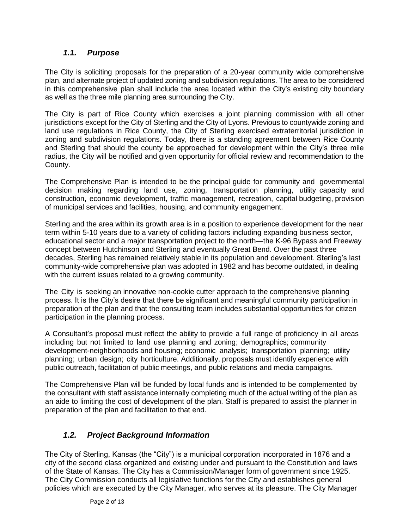## *1.1. Purpose*

The City is soliciting proposals for the preparation of a 20-year community wide comprehensive plan, and alternate project of updated zoning and subdivision regulations. The area to be considered in this comprehensive plan shall include the area located within the City's existing city boundary as well as the three mile planning area surrounding the City.

The City is part of Rice County which exercises a joint planning commission with all other jurisdictions except for the City of Sterling and the City of Lyons. Previous to countywide zoning and land use regulations in Rice County, the City of Sterling exercised extraterritorial jurisdiction in zoning and subdivision regulations. Today, there is a standing agreement between Rice County and Sterling that should the county be approached for development within the City's three mile radius, the City will be notified and given opportunity for official review and recommendation to the County.

The Comprehensive Plan is intended to be the principal guide for community and governmental decision making regarding land use, zoning, transportation planning, utility capacity and construction, economic development, traffic management, recreation, capital budgeting, provision of municipal services and facilities, housing, and community engagement.

Sterling and the area within its growth area is in a position to experience development for the near term within 5-10 years due to a variety of colliding factors including expanding business sector, educational sector and a major transportation project to the north—the K-96 Bypass and Freeway concept between Hutchinson and Sterling and eventually Great Bend. Over the past three decades, Sterling has remained relatively stable in its population and development. Sterling's last community-wide comprehensive plan was adopted in 1982 and has become outdated, in dealing with the current issues related to a growing community.

The City is seeking an innovative non-cookie cutter approach to the comprehensive planning process. It is the City's desire that there be significant and meaningful community participation in preparation of the plan and that the consulting team includes substantial opportunities for citizen participation in the planning process.

A Consultant's proposal must reflect the ability to provide a full range of proficiency in all areas including but not limited to land use planning and zoning; demographics; community development-neighborhoods and housing; economic analysis; transportation planning; utility planning; urban design; city horticulture. Additionally, proposals must identify experience with public outreach, facilitation of public meetings, and public relations and media campaigns.

The Comprehensive Plan will be funded by local funds and is intended to be complemented by the consultant with staff assistance internally completing much of the actual writing of the plan as an aide to limiting the cost of development of the plan. Staff is prepared to assist the planner in preparation of the plan and facilitation to that end.

## *1.2. Project Background Information*

The City of Sterling, Kansas (the "City") is a municipal corporation incorporated in 1876 and a city of the second class organized and existing under and pursuant to the Constitution and laws of the State of Kansas. The City has a Commission/Manager form of government since 1925. The City Commission conducts all legislative functions for the City and establishes general policies which are executed by the City Manager, who serves at its pleasure. The City Manager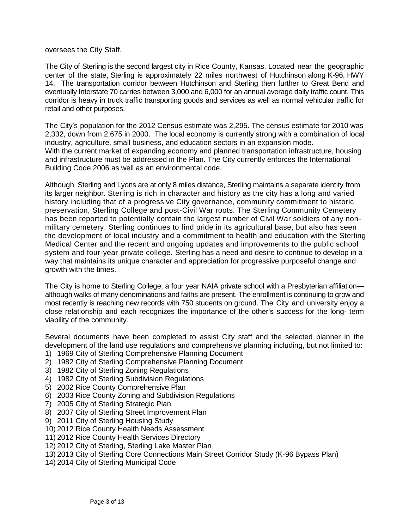oversees the City Staff.

The City of Sterling is the second largest city in Rice County, Kansas. Located near the geographic center of the state, Sterling is approximately 22 miles northwest of Hutchinson along K-96, HWY 14. The transportation corridor between Hutchinson and Sterling then further to Great Bend and eventually Interstate 70 carries between 3,000 and 6,000 for an annual average daily traffic count. This corridor is heavy in truck traffic transporting goods and services as well as normal vehicular traffic for retail and other purposes.

The City's population for the 2012 Census estimate was 2,295. The census estimate for 2010 was 2,332, down from 2,675 in 2000. The local economy is currently strong with a combination of local industry, agriculture, small business, and education sectors in an expansion mode. With the current market of expanding economy and planned transportation infrastructure, housing and infrastructure must be addressed in the Plan. The City currently enforces the International Building Code 2006 as well as an environmental code.

Although Sterling and Lyons are at only 8 miles distance, Sterling maintains a separate identity from its larger neighbor. Sterling is rich in character and history as the city has a long and varied history including that of a progressive City governance, community commitment to historic preservation, Sterling College and post-Civil War roots. The Sterling Community Cemetery has been reported to potentially contain the largest number of Civil War soldiers of any nonmilitary cemetery. Sterling continues to find pride in its agricultural base, but also has seen the development of local industry and a commitment to health and education with the Sterling Medical Center and the recent and ongoing updates and improvements to the public school system and four-year private college. Sterling has a need and desire to continue to develop in a way that maintains its unique character and appreciation for progressive purposeful change and growth with the times.

The City is home to Sterling College, a four year NAIA private school with a Presbyterian affiliation although walks of many denominations and faiths are present. The enrollment is continuing to grow and most recently is reaching new records with 750 students on ground. The City and university enjoy a close relationship and each recognizes the importance of the other's success for the long- term viability of the community.

Several documents have been completed to assist City staff and the selected planner in the development of the land use regulations and comprehensive planning including, but not limited to:

- 1) 1969 City of Sterling Comprehensive Planning Document
- 2) 1982 City of Sterling Comprehensive Planning Document
- 3) 1982 City of Sterling Zoning Regulations
- 4) 1982 City of Sterling Subdivision Regulations
- 5) 2002 Rice County Comprehensive Plan
- 6) 2003 Rice County Zoning and Subdivision Regulations
- 7) 2005 City of Sterling Strategic Plan
- 8) 2007 City of Sterling Street Improvement Plan
- 9) 2011 City of Sterling Housing Study
- 10) 2012 Rice County Health Needs Assessment
- 11) 2012 Rice County Health Services Directory
- 12) 2012 City of Sterling, Sterling Lake Master Plan
- 13) 2013 City of Sterling Core Connections Main Street Corridor Study (K-96 Bypass Plan)
- 14) 2014 City of Sterling Municipal Code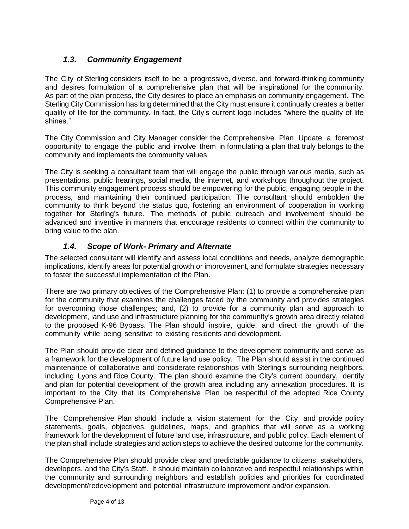## *1.3. Community Engagement*

The City of Sterling considers itself to be a progressive, diverse, and forward-thinking community and desires formulation of a comprehensive plan that will be inspirational for the community. As part of the plan process, the City desires to place an emphasis on community engagement. The Sterling City Commission has long determined that the City must ensure it continually creates a better quality of life for the community. In fact, the City's current logo includes "where the quality of life shines."

The City Commission and City Manager consider the Comprehensive Plan Update a foremost opportunity to engage the public and involve them in formulating a plan that truly belongs to the community and implements the community values.

The City is seeking a consultant team that will engage the public through various media, such as presentations, public hearings, social media, the internet, and workshops throughout the project. This community engagement process should be empowering for the public, engaging people in the process, and maintaining their continued participation. The consultant should embolden the community to think beyond the status quo, fostering an environment of cooperation in working together for Sterling's future. The methods of public outreach and involvement should be advanced and inventive in manners that encourage residents to connect within the community to bring value to the plan.

#### *1.4. Scope of Work- Primary and Alternate*

The selected consultant will identify and assess local conditions and needs, analyze demographic implications, identify areas for potential growth or improvement, and formulate strategies necessary to foster the successful implementation of the Plan.

There are two primary objectives of the Comprehensive Plan: (1) to provide a comprehensive plan for the community that examines the challenges faced by the community and provides strategies for overcoming those challenges; and, (2) to provide for a community plan and approach to development, land use and infrastructure planning for the community's growth area directly related to the proposed K-96 Bypass. The Plan should inspire, guide, and direct the growth of the community while being sensitive to existing residents and development.

The Plan should provide clear and defined guidance to the development community and serve as a framework for the development of future land use policy. The Plan should assist in the continued maintenance of collaborative and considerate relationships with Sterling's surrounding neighbors, including Lyons and Rice County. The plan should examine the City's current boundary, identify and plan for potential development of the growth area including any annexation procedures. It is important to the City that its Comprehensive Plan be respectful of the adopted Rice County Comprehensive Plan.

The Comprehensive Plan should include a vision statement for the City and provide policy statements, goals, objectives, guidelines, maps, and graphics that will serve as a working framework for the development of future land use, infrastructure, and public policy. Each element of the plan shall include strategies and action steps to achieve the desired outcome for the community.

The Comprehensive Plan should provide clear and predictable guidance to citizens, stakeholders, developers, and the City's Staff. It should maintain collaborative and respectful relationships within the community and surrounding neighbors and establish policies and priorities for coordinated development/redevelopment and potential infrastructure improvement and/or expansion.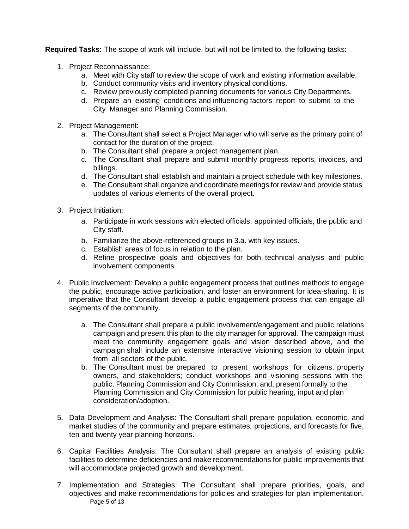**Required Tasks:** The scope of work will include, but will not be limited to, the following tasks:

- 1. Project Reconnaissance:
	- a. Meet with City staff to review the scope of work and existing information available.
	- b. Conduct community visits and inventory physical conditions.
	- c. Review previously completed planning documents for various City Departments.
	- d. Prepare an existing conditions and influencing factors report to submit to the City Manager and Planning Commission.
- 2. Project Management:
	- a. The Consultant shall select a Project Manager who will serve as the primary point of contact for the duration of the project.
	- b. The Consultant shall prepare a project management plan.
	- c. The Consultant shall prepare and submit monthly progress reports, invoices, and billings.
	- d. The Consultant shall establish and maintain a project schedule with key milestones.
	- e. The Consultant shall organize and coordinate meetings for review and provide status updates of various elements of the overall project.
- 3. Project Initiation:
	- a. Participate in work sessions with elected officials, appointed officials, the public and City staff.
	- b. Familiarize the above-referenced groups in 3.a. with key issues.
	- c. Establish areas of focus in relation to the plan.
	- d. Refine prospective goals and objectives for both technical analysis and public involvement components.
- 4. Public Involvement: Develop a public engagement process that outlines methods to engage the public, encourage active participation, and foster an environment for idea-sharing. It is imperative that the Consultant develop a public engagement process that can engage all segments of the community.
	- a. The Consultant shall prepare a public involvement/engagement and public relations campaign and present this plan to the city manager for approval. The campaign must meet the community engagement goals and vision described above, and the campaign shall include an extensive interactive visioning session to obtain input from all sectors of the public.
	- b. The Consultant must be prepared to present workshops for citizens, property owners, and stakeholders; conduct workshops and visioning sessions with the public, Planning Commission and City Commission; and, present formally to the Planning Commission and City Commission for public hearing, input and plan consideration/adoption.
- 5. Data Development and Analysis: The Consultant shall prepare population, economic, and market studies of the community and prepare estimates, projections, and forecasts for five, ten and twenty year planning horizons.
- 6. Capital Facilities Analysis: The Consultant shall prepare an analysis of existing public facilities to determine deficiencies and make recommendations for public improvements that will accommodate projected growth and development.
- Page 5 of 13 7. Implementation and Strategies: The Consultant shall prepare priorities, goals, and objectives and make recommendations for policies and strategies for plan implementation.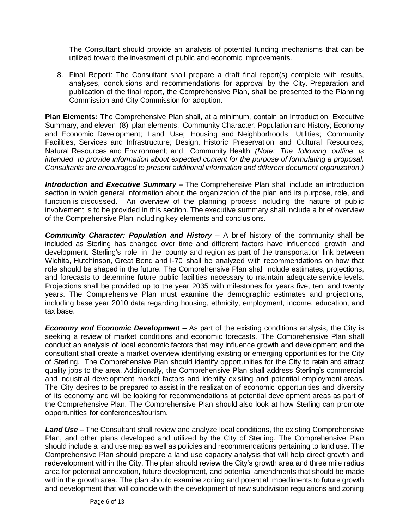The Consultant should provide an analysis of potential funding mechanisms that can be utilized toward the investment of public and economic improvements.

8. Final Report: The Consultant shall prepare a draft final report(s) complete with results, analyses, conclusions and recommendations for approval by the City. Preparation and publication of the final report, the Comprehensive Plan, shall be presented to the Planning Commission and City Commission for adoption.

**Plan Elements:** The Comprehensive Plan shall, at a minimum, contain an Introduction, Executive Summary, and eleven (8) plan elements: Community Character: Population and History; Economy and Economic Development; Land Use; Housing and Neighborhoods; Utilities; Community Facilities, Services and Infrastructure; Design, Historic Preservation and Cultural Resources; Natural Resources and Environment; and Community Health; *(Note: The following outline is intended to provide information about expected content for the purpose of formulating a proposal. Consultants are encouraged to present additional information and different document organization.)*

*Introduction and Executive Summary –* The Comprehensive Plan shall include an introduction section in which general information about the organization of the plan and its purpose, role, and function is discussed. An overview of the planning process including the nature of public involvement is to be provided in this section. The executive summary shall include a brief overview of the Comprehensive Plan including key elements and conclusions.

*Community Character: Population and History* – A brief history of the community shall be included as Sterling has changed over time and different factors have influenced growth and development. Sterling's role in the county and region as part of the transportation link between Wichita, Hutchinson, Great Bend and I-70 shall be analyzed with recommendations on how that role should be shaped in the future. The Comprehensive Plan shall include estimates, projections, and forecasts to determine future public facilities necessary to maintain adequate service levels. Projections shall be provided up to the year 2035 with milestones for years five, ten, and twenty years. The Comprehensive Plan must examine the demographic estimates and projections, including base year 2010 data regarding housing, ethnicity, employment, income, education, and tax base.

*Economy and Economic Development* – As part of the existing conditions analysis, the City is seeking a review of market conditions and economic forecasts. The Comprehensive Plan shall conduct an analysis of local economic factors that may influence growth and development and the consultant shall create a market overview identifying existing or emerging opportunities for the City of Sterling. The Comprehensive Plan should identify opportunities for the City to retain and attract quality jobs to the area. Additionally, the Comprehensive Plan shall address Sterling's commercial and industrial development market factors and identify existing and potential employment areas. The City desires to be prepared to assist in the realization of economic opportunities and diversity of its economy and will be looking for recommendations at potential development areas as part of the Comprehensive Plan. The Comprehensive Plan should also look at how Sterling can promote opportunities for conferences/tourism.

*Land Use* – The Consultant shall review and analyze local conditions, the existing Comprehensive Plan, and other plans developed and utilized by the City of Sterling. The Comprehensive Plan should include a land use map as well as policies and recommendations pertaining to land use. The Comprehensive Plan should prepare a land use capacity analysis that will help direct growth and redevelopment within the City. The plan should review the City's growth area and three mile radius area for potential annexation, future development, and potential amendments that should be made within the growth area. The plan should examine zoning and potential impediments to future growth and development that will coincide with the development of new subdivision regulations and zoning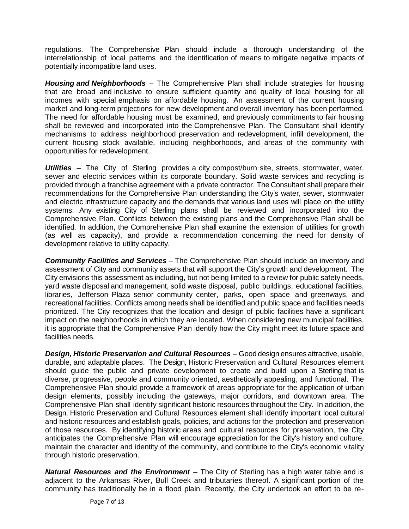regulations. The Comprehensive Plan should include a thorough understanding of the interrelationship of local patterns and the identification of means to mitigate negative impacts of potentially incompatible land uses.

*Housing and Neighborhoods* – The Comprehensive Plan shall include strategies for housing that are broad and inclusive to ensure sufficient quantity and quality of local housing for all incomes with special emphasis on affordable housing. An assessment of the current housing market and long-term projections for new development and overall inventory has been performed. The need for affordable housing must be examined, and previously commitments to fair housing shall be reviewed and incorporated into the Comprehensive Plan. The Consultant shall identify mechanisms to address neighborhood preservation and redevelopment, infill development, the current housing stock available, including neighborhoods, and areas of the community with opportunities for redevelopment.

*Utilities* – The City of Sterling provides a city compost/burn site, streets, stormwater, water, sewer and electric services within its corporate boundary. Solid waste services and recycling is provided through a franchise agreement with a private contractor. The Consultant shall prepare their recommendations for the Comprehensive Plan understanding the City's water, sewer, stormwater and electric infrastructure capacity and the demands that various land uses will place on the utility systems. Any existing City of Sterling plans shall be reviewed and incorporated into the Comprehensive Plan. Conflicts between the existing plans and the Comprehensive Plan shall be identified. In addition, the Comprehensive Plan shall examine the extension of utilities for growth (as well as capacity), and provide a recommendation concerning the need for density of development relative to utility capacity.

*Community Facilities and Services* – The Comprehensive Plan should include an inventory and assessment of City and community assets that will support the City's growth and development. The City envisions this assessment as including, but not being limited to a review for public safety needs, yard waste disposal and management, solid waste disposal, public buildings, educational facilities, libraries, Jefferson Plaza senior community center, parks, open space and greenways, and recreational facilities. Conflicts among needs shall be identified and public space and facilities needs prioritized. The City recognizes that the location and design of public facilities have a significant impact on the neighborhoods in which they are located. When considering new municipal facilities, it is appropriate that the Comprehensive Plan identify how the City might meet its future space and facilities needs.

*Design, Historic Preservation and Cultural Resources* – Good design ensures attractive, usable, durable, and adaptable places. The Design, Historic Preservation and Cultural Resources element should guide the public and private development to create and build upon a Sterling that is diverse, progressive, people and community oriented, aesthetically appealing, and functional. The Comprehensive Plan should provide a framework of areas appropriate for the application of urban design elements, possibly including the gateways, major corridors, and downtown area. The Comprehensive Plan shall identify significant historic resources throughout the City. In addition, the Design, Historic Preservation and Cultural Resources element shall identify important local cultural and historic resources and establish goals, policies, and actions for the protection and preservation of those resources. By identifying historic areas and cultural resources for preservation, the City anticipates the Comprehensive Plan will encourage appreciation for the City's history and culture, maintain the character and identity of the community, and contribute to the City's economic vitality through historic preservation.

*Natural Resources and the Environment* – The City of Sterling has a high water table and is adjacent to the Arkansas River, Bull Creek and tributaries thereof. A significant portion of the community has traditionally be in a flood plain. Recently, the City undertook an effort to be re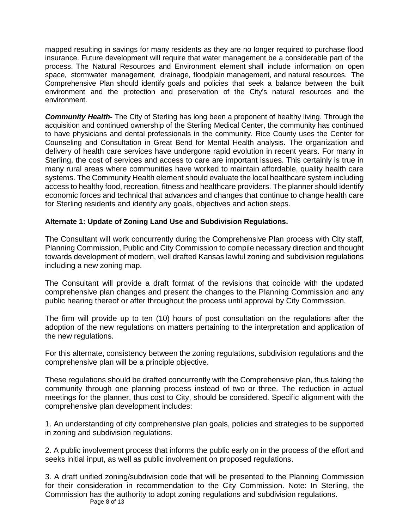mapped resulting in savings for many residents as they are no longer required to purchase flood insurance. Future development will require that water management be a considerable part of the process. The Natural Resources and Environment element shall include information on open space, stormwater management, drainage, floodplain management, and natural resources. The Comprehensive Plan should identify goals and policies that seek a balance between the built environment and the protection and preservation of the City's natural resources and the environment.

*Community Health-* The City of Sterling has long been a proponent of healthy living. Through the acquisition and continued ownership of the Sterling Medical Center, the community has continued to have physicians and dental professionals in the community. Rice County uses the Center for Counseling and Consultation in Great Bend for Mental Health analysis. The organization and delivery of health care services have undergone rapid evolution in recent years. For many in Sterling, the cost of services and access to care are important issues. This certainly is true in many rural areas where communities have worked to maintain affordable, quality health care systems. The Community Health element should evaluate the local healthcare system including access to healthy food, recreation, fitness and healthcare providers. The planner should identify economic forces and technical that advances and changes that continue to change health care for Sterling residents and identify any goals, objectives and action steps.

#### **Alternate 1: Update of Zoning Land Use and Subdivision Regulations.**

The Consultant will work concurrently during the Comprehensive Plan process with City staff, Planning Commission, Public and City Commission to compile necessary direction and thought towards development of modern, well drafted Kansas lawful zoning and subdivision regulations including a new zoning map.

The Consultant will provide a draft format of the revisions that coincide with the updated comprehensive plan changes and present the changes to the Planning Commission and any public hearing thereof or after throughout the process until approval by City Commission.

The firm will provide up to ten (10) hours of post consultation on the regulations after the adoption of the new regulations on matters pertaining to the interpretation and application of the new regulations.

For this alternate, consistency between the zoning regulations, subdivision regulations and the comprehensive plan will be a principle objective.

These regulations should be drafted concurrently with the Comprehensive plan, thus taking the community through one planning process instead of two or three. The reduction in actual meetings for the planner, thus cost to City, should be considered. Specific alignment with the comprehensive plan development includes:

1. An understanding of city comprehensive plan goals, policies and strategies to be supported in zoning and subdivision regulations.

2. A public involvement process that informs the public early on in the process of the effort and seeks initial input, as well as public involvement on proposed regulations.

Page 8 of 13 3. A draft unified zoning/subdivision code that will be presented to the Planning Commission for their consideration in recommendation to the City Commission. Note: In Sterling, the Commission has the authority to adopt zoning regulations and subdivision regulations.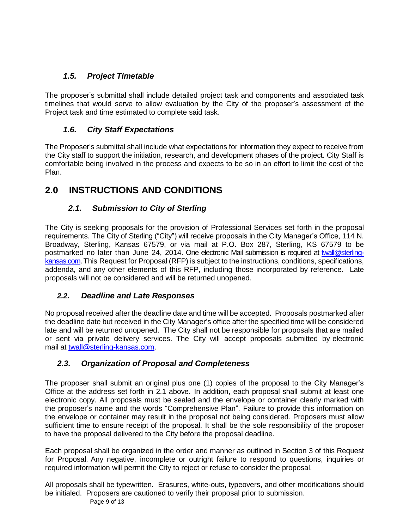## *1.5. Project Timetable*

The proposer's submittal shall include detailed project task and components and associated task timelines that would serve to allow evaluation by the City of the proposer's assessment of the Project task and time estimated to complete said task.

## *1.6. City Staff Expectations*

The Proposer's submittal shall include what expectations for information they expect to receive from the City staff to support the initiation, research, and development phases of the project. City Staff is comfortable being involved in the process and expects to be so in an effort to limit the cost of the Plan.

# **2.0 INSTRUCTIONS AND CONDITIONS**

## *2.1. Submission to City of Sterling*

The City is seeking proposals for the provision of Professional Services set forth in the proposal requirements. The City of Sterling ("City") will receive proposals in the City Manager's Office, 114 N. Broadway, Sterling, Kansas 67579, or via mail at P.O. Box 287, Sterling, KS 67579 to be postmarked no later than June 24, 2014. One electronic Mail submission is required at [twall@sterling](mailto:twall@sterling-kansas.com)[kansas.com.](mailto:twall@sterling-kansas.com) This Request for Proposal (RFP) is subject to the instructions, conditions, specifications, addenda, and any other elements of this RFP, including those incorporated by reference. Late proposals will not be considered and will be returned unopened.

## *2.2. Deadline and Late Responses*

No proposal received after the deadline date and time will be accepted. Proposals postmarked after the deadline date but received in the City Manager's office after the specified time will be considered late and will be returned unopened. The City shall not be responsible for proposals that are mailed or sent via private delivery services. The City will accept proposals submitted by electronic mail at [twall@sterling-kansas.com.](mailto:twall@sterling-kansas.com)

## *2.3. Organization of Proposal and Completeness*

The proposer shall submit an original plus one (1) copies of the proposal to the City Manager's Office at the address set forth in 2.1 above. In addition, each proposal shall submit at least one electronic copy. All proposals must be sealed and the envelope or container clearly marked with the proposer's name and the words "Comprehensive Plan". Failure to provide this information on the envelope or container may result in the proposal not being considered. Proposers must allow sufficient time to ensure receipt of the proposal. It shall be the sole responsibility of the proposer to have the proposal delivered to the City before the proposal deadline.

Each proposal shall be organized in the order and manner as outlined in Section 3 of this Request for Proposal. Any negative, incomplete or outright failure to respond to questions, inquiries or required information will permit the City to reject or refuse to consider the proposal.

All proposals shall be typewritten. Erasures, white-outs, typeovers, and other modifications should be initialed. Proposers are cautioned to verify their proposal prior to submission.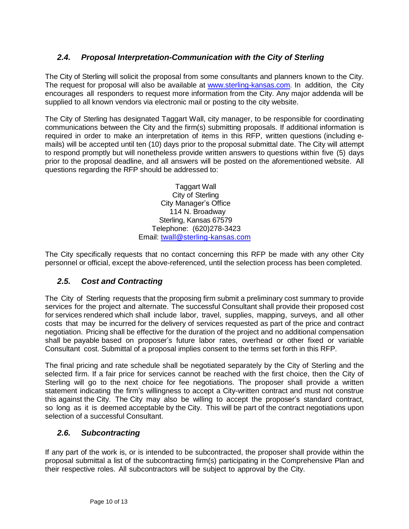## *2.4. Proposal Interpretation-Communication with the City of Sterling*

The City of Sterling will solicit the proposal from some consultants and planners known to the City. The request for proposal will also be available at [www.s](http://www.murfreesborotn.gov/)terling-kansas.com. In addition, the City encourages all responders to request more information from the City. Any major addenda will be supplied to all known vendors via electronic mail or posting to the city website.

The City of Sterling has designated Taggart Wall, city manager, to be responsible for coordinating communications between the City and the firm(s) submitting proposals. If additional information is required in order to make an interpretation of items in this RFP, written questions (including emails) will be accepted until ten (10) days prior to the proposal submittal date. The City will attempt to respond promptly but will nonetheless provide written answers to questions within five (5) days prior to the proposal deadline, and all answers will be posted on the aforementioned website. All questions regarding the RFP should be addressed to:

> Taggart Wall City of Sterling City Manager's Office 114 N. Broadway Sterling, Kansas 67579 Telephone: (620)278-3423 Email: [twall@sterling-kansas.com](mailto:twall@sterling-kansas.com)

The City specifically requests that no contact concerning this RFP be made with any other City personnel or official, except the above-referenced, until the selection process has been completed.

#### *2.5. Cost and Contracting*

The City of Sterling requests that the proposing firm submit a preliminary cost summary to provide services for the project and alternate. The successful Consultant shall provide their proposed cost for services rendered which shall include labor, travel, supplies, mapping, surveys, and all other costs that may be incurred for the delivery of services requested as part of the price and contract negotiation. Pricing shall be effective for the duration of the project and no additional compensation shall be payable based on proposer's future labor rates, overhead or other fixed or variable Consultant cost. Submittal of a proposal implies consent to the terms set forth in this RFP.

The final pricing and rate schedule shall be negotiated separately by the City of Sterling and the selected firm. If a fair price for services cannot be reached with the first choice, then the City of Sterling will go to the next choice for fee negotiations. The proposer shall provide a written statement indicating the firm's willingness to accept a City-written contract and must not construe this against the City. The City may also be willing to accept the proposer's standard contract, so long as it is deemed acceptable by the City. This will be part of the contract negotiations upon selection of a successful Consultant.

#### *2.6. Subcontracting*

If any part of the work is, or is intended to be subcontracted, the proposer shall provide within the proposal submittal a list of the subcontracting firm(s) participating in the Comprehensive Plan and their respective roles. All subcontractors will be subject to approval by the City.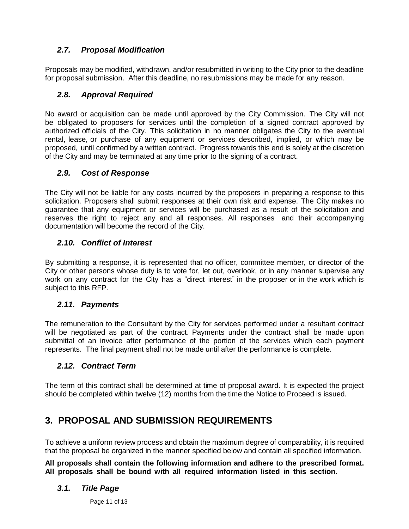## *2.7. Proposal Modification*

Proposals may be modified, withdrawn, and/or resubmitted in writing to the City prior to the deadline for proposal submission. After this deadline, no resubmissions may be made for any reason.

## *2.8. Approval Required*

No award or acquisition can be made until approved by the City Commission. The City will not be obligated to proposers for services until the completion of a signed contract approved by authorized officials of the City. This solicitation in no manner obligates the City to the eventual rental, lease, or purchase of any equipment or services described, implied, or which may be proposed, until confirmed by a written contract. Progress towards this end is solely at the discretion of the City and may be terminated at any time prior to the signing of a contract.

#### *2.9. Cost of Response*

The City will not be liable for any costs incurred by the proposers in preparing a response to this solicitation. Proposers shall submit responses at their own risk and expense. The City makes no guarantee that any equipment or services will be purchased as a result of the solicitation and reserves the right to reject any and all responses. All responses and their accompanying documentation will become the record of the City.

#### *2.10. Conflict of Interest*

By submitting a response, it is represented that no officer, committee member, or director of the City or other persons whose duty is to vote for, let out, overlook, or in any manner supervise any work on any contract for the City has a "direct interest" in the proposer or in the work which is subject to this RFP.

#### *2.11. Payments*

The remuneration to the Consultant by the City for services performed under a resultant contract will be negotiated as part of the contract. Payments under the contract shall be made upon submittal of an invoice after performance of the portion of the services which each payment represents. The final payment shall not be made until after the performance is complete.

#### *2.12. Contract Term*

The term of this contract shall be determined at time of proposal award. It is expected the project should be completed within twelve (12) months from the time the Notice to Proceed is issued.

## **3. PROPOSAL AND SUBMISSION REQUIREMENTS**

To achieve a uniform review process and obtain the maximum degree of comparability, it is required that the proposal be organized in the manner specified below and contain all specified information.

**All proposals shall contain the following information and adhere to the prescribed format. All proposals shall be bound with all required information listed in this section.**

#### *3.1. Title Page*

Page 11 of 13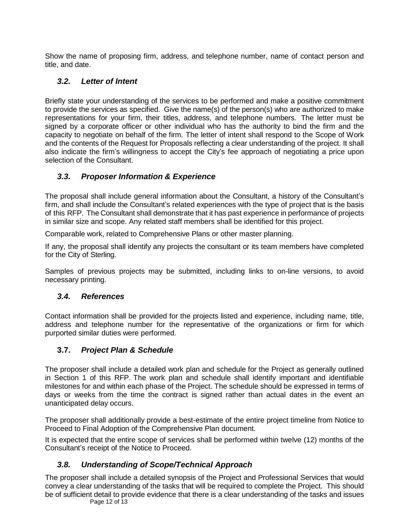Show the name of proposing firm, address, and telephone number, name of contact person and title, and date.

## *3.2. Letter of Intent*

Briefly state your understanding of the services to be performed and make a positive commitment to provide the services as specified. Give the name(s) of the person(s) who are authorized to make representations for your firm, their titles, address, and telephone numbers. The letter must be signed by a corporate officer or other individual who has the authority to bind the firm and the capacity to negotiate on behalf of the firm. The letter of intent shall respond to the Scope of Work and the contents of the Request for Proposals reflecting a clear understanding of the project. It shall also indicate the firm's willingness to accept the City's fee approach of negotiating a price upon selection of the Consultant.

#### *3.3. Proposer Information & Experience*

The proposal shall include general information about the Consultant, a history of the Consultant's firm, and shall include the Consultant's related experiences with the type of project that is the basis of this RFP. The Consultant shall demonstrate that it has past experience in performance of projects in similar size and scope. Any related staff members shall be identified for this project.

Comparable work, related to Comprehensive Plans or other master planning.

If any, the proposal shall identify any projects the consultant or its team members have completed for the City of Sterling.

Samples of previous projects may be submitted, including links to on-line versions, to avoid necessary printing.

#### *3.4. References*

Contact information shall be provided for the projects listed and experience, including name, title, address and telephone number for the representative of the organizations or firm for which purported similar duties were performed.

## **3.7.** *Project Plan & Schedule*

The proposer shall include a detailed work plan and schedule for the Project as generally outlined in Section 1 of this RFP. The work plan and schedule shall identify important and identifiable milestones for and within each phase of the Project. The schedule should be expressed in terms of days or weeks from the time the contract is signed rather than actual dates in the event an unanticipated delay occurs.

The proposer shall additionally provide a best-estimate of the entire project timeline from Notice to Proceed to Final Adoption of the Comprehensive Plan document.

It is expected that the entire scope of services shall be performed within twelve (12) months of the Consultant's receipt of the Notice to Proceed.

## *3.8. Understanding of Scope/Technical Approach*

The proposer shall include a detailed synopsis of the Project and Professional Services that would convey a clear understanding of the tasks that will be required to complete the Project. This should be of sufficient detail to provide evidence that there is a clear understanding of the tasks and issues

Page 12 of 13